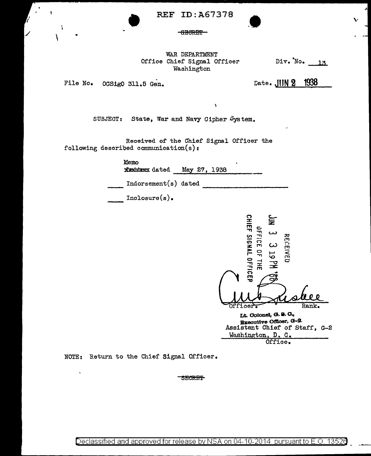**REF ID: A67378** 

## **-BECRET**

WAR DEPARTMENT Office Chief Signal Officer Washington

 $\mathbf{r}$ 

 $Div. No. 13$ 

File No. 00Sig0 311.5 Gen.

ŧ

١

Date. JIJN 2 1938

SUBJECT: State, War and Navy Cipher System.

Received of the Chief Signal Officer the following described communication(s):

Memo

**Xishiden dated** May 27, 1938

Indorsement(s) dated

 $Inclosure(s)$ .



Executive Officer, G-2. Assistant Chief of Staff, G-2 Washington, D. C. Office.

NOTE: Return to the Chief Signal Officer.

**SECRET**